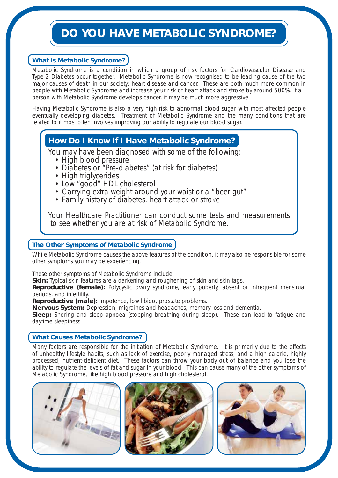## **DO YOU HAVE METABOLIC SYNDROME?**

### **What is Metabolic Syndrome?**

Metabolic Syndrome is a condition in which a group of risk factors for Cardiovascular Disease and Type 2 Diabetes occur together. Metabolic Syndrome is now recognised to be leading cause of the two major causes of death in our society: heart disease and cancer. These are both much more common in people with Metabolic Syndrome and increase your risk of heart attack and stroke by around 500%. If a person with Metabolic Syndrome develops cancer, it may be much more aggressive.

Having Metabolic Syndrome is also a very high risk to abnormal blood sugar with most affected people eventually developing diabetes. Treatment of Metabolic Syndrome and the many conditions that are related to it most often involves improving our ability to regulate our blood sugar.

## **How Do I Know If I Have Metabolic Syndrome?**

You may have been diagnosed with some of the following:

- High blood pressure
- Diabetes or "Pre-diabetes" (at risk for diabetes)
- High triglycerides
- Low "good" HDL cholesterol
- Carrying extra weight around your waist or a "beer gut"
- Family history of diabetes, heart attack or stroke

Your Healthcare Practitioner can conduct some tests and measurements to see whether you are at risk of Metabolic Syndrome.

#### **The Other Symptoms of Metabolic Syndrome**

While Metabolic Syndrome causes the above features of the condition, it may also be responsible for some other symptoms you may be experiencing.

These other symptoms of Metabolic Syndrome include;

**Skin:** Typical skin features are a darkening and roughening of skin and skin tags.

**Reproductive (female):** Polycystic ovary syndrome, early puberty, absent or infrequent menstrual periods, and infertility.

**Reproductive (male):** Impotence, low libido, prostate problems.

**Nervous System:** Depression, migraines and headaches, memory loss and dementia.

**Sleep:** Snoring and sleep apnoea (stopping breathing during sleep). These can lead to fatigue and daytime sleepiness.

#### **What Causes Metabolic Syndrome?**

Many factors are responsible for the initiation of Metabolic Syndrome. It is primarily due to the effects of unhealthy lifestyle habits, such as lack of exercise, poorly managed stress, and a high calorie, highly processed, nutrient-deficient diet. These factors can throw your body out of balance and you lose the ability to regulate the levels of fat and sugar in your blood. This can cause many of the other symptoms of Metabolic Syndrome, like high blood pressure and high cholesterol.